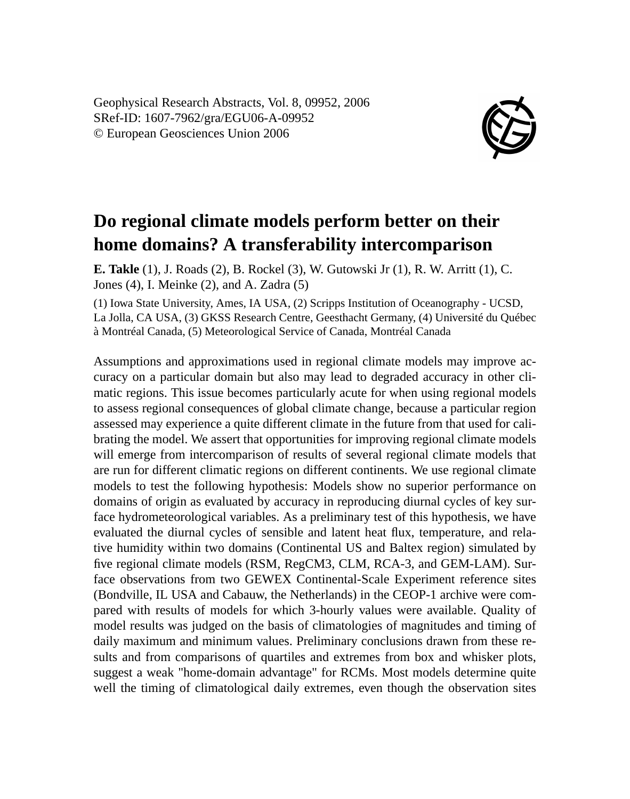Geophysical Research Abstracts, Vol. 8, 09952, 2006 SRef-ID: 1607-7962/gra/EGU06-A-09952 © European Geosciences Union 2006



## **Do regional climate models perform better on their home domains? A transferability intercomparison**

**E. Takle** (1), J. Roads (2), B. Rockel (3), W. Gutowski Jr (1), R. W. Arritt (1), C. Jones (4), I. Meinke (2), and A. Zadra (5)

(1) Iowa State University, Ames, IA USA, (2) Scripps Institution of Oceanography - UCSD, La Jolla, CA USA, (3) GKSS Research Centre, Geesthacht Germany, (4) Université du Québec à Montréal Canada, (5) Meteorological Service of Canada, Montréal Canada

Assumptions and approximations used in regional climate models may improve accuracy on a particular domain but also may lead to degraded accuracy in other climatic regions. This issue becomes particularly acute for when using regional models to assess regional consequences of global climate change, because a particular region assessed may experience a quite different climate in the future from that used for calibrating the model. We assert that opportunities for improving regional climate models will emerge from intercomparison of results of several regional climate models that are run for different climatic regions on different continents. We use regional climate models to test the following hypothesis: Models show no superior performance on domains of origin as evaluated by accuracy in reproducing diurnal cycles of key surface hydrometeorological variables. As a preliminary test of this hypothesis, we have evaluated the diurnal cycles of sensible and latent heat flux, temperature, and relative humidity within two domains (Continental US and Baltex region) simulated by five regional climate models (RSM, RegCM3, CLM, RCA-3, and GEM-LAM). Surface observations from two GEWEX Continental-Scale Experiment reference sites (Bondville, IL USA and Cabauw, the Netherlands) in the CEOP-1 archive were compared with results of models for which 3-hourly values were available. Quality of model results was judged on the basis of climatologies of magnitudes and timing of daily maximum and minimum values. Preliminary conclusions drawn from these results and from comparisons of quartiles and extremes from box and whisker plots, suggest a weak "home-domain advantage" for RCMs. Most models determine quite well the timing of climatological daily extremes, even though the observation sites